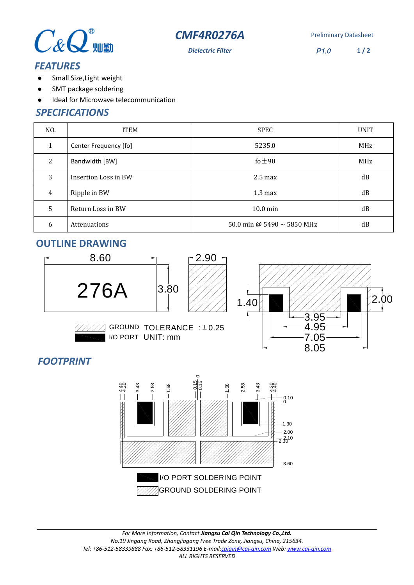



**Dielectric Filter** P1.0 **1 / 2**

### *FEATURES*

- $\bullet$ Small Size,Light weight
- $\bullet$ SMT package soldering
- $\bullet$ Ideal for Microwave telecommunication

### *SPECIFICATIONS*

| NO.          | <b>ITEM</b>           | <b>SPEC</b>                     | <b>UNIT</b> |
|--------------|-----------------------|---------------------------------|-------------|
| $\mathbf{1}$ | Center Frequency [fo] | 5235.0                          | MHz         |
| 2            | Bandwidth [BW]        | fo $\pm 90$                     | MHz         |
| 3            | Insertion Loss in BW  | $2.5 \text{ max}$               | dB          |
| 4            | Ripple in BW          | $1.3 \text{ max}$               | dB          |
| 5            | Return Loss in BW     | $10.0 \text{ min}$              | dB          |
| 6            | Attenuations          | 50.0 min @ 5490 $\sim$ 5850 MHz | dB          |

# **OUTLINE DRAWING**



GROUND  $TOLERANCE :  $\pm$  0.25$ IO PORT UNIT: mm



## *FOOTPRINT*